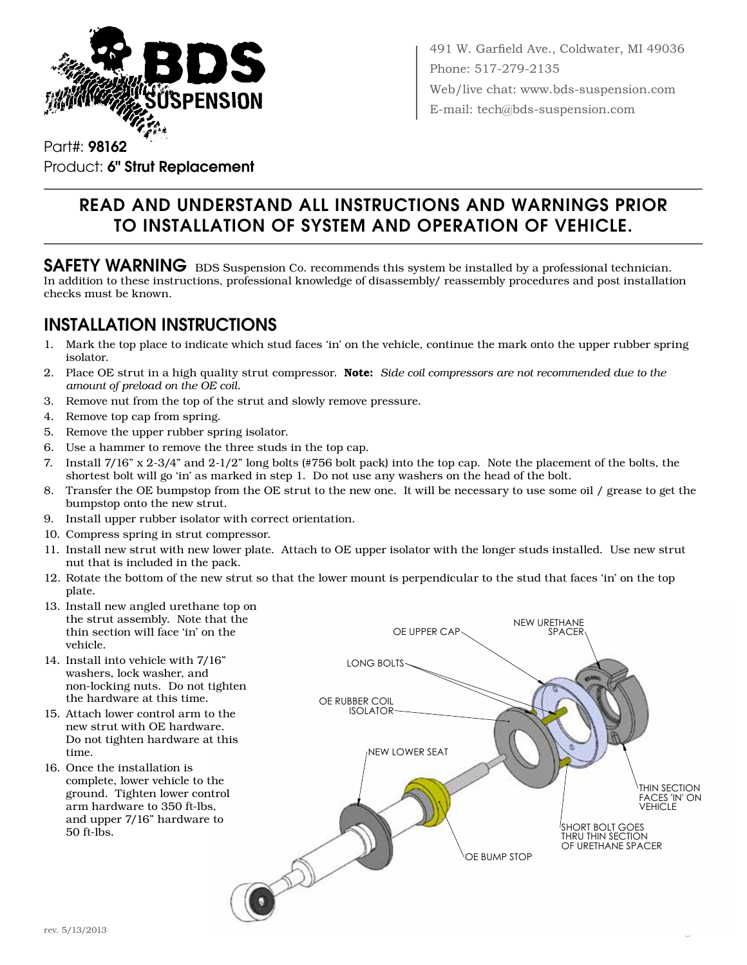

491 W. Garfield Ave., Coldwater, MI 49036 Phone: 517-279-2135 Web/live chat: www.bds-suspension.com E-mail: tech@bds-suspension.com

Part#: 98162 Product: 6" Strut Replacement

# Read and understand all instructions and warnings prior to installation of system and operation of vehicle.

SAFETY WARNING BDS Suspension Co. recommends this system be installed by a professional technician. In addition to these instructions, professional knowledge of disassembly/ reassembly procedures and post installation checks must be known.

#### INSTALLATION INSTRUCTIONS

- 1. Mark the top place to indicate which stud faces 'in' on the vehicle, continue the mark onto the upper rubber spring isolator.
- 2. Place OE strut in a high quality strut compressor. Note: *Side coil compressors are not recommended due to the amount of preload on the OE coil.*
- 3. Remove nut from the top of the strut and slowly remove pressure.
- 4. Remove top cap from spring.
- 5. Remove the upper rubber spring isolator.
- 6. Use a hammer to remove the three studs in the top cap.
- 7. Install 7/16" x 2-3/4" and 2-1/2" long bolts (#756 bolt pack) into the top cap. Note the placement of the bolts, the shortest bolt will go 'in' as marked in step 1. Do not use any washers on the head of the bolt.
- 8. Transfer the OE bumpstop from the OE strut to the new one. It will be necessary to use some oil / grease to get the bumpstop onto the new strut.
- 9. Install upper rubber isolator with correct orientation.
- 10. Compress spring in strut compressor.
- 11. Install new strut with new lower plate. Attach to OE upper isolator with the longer studs installed. Use new strut nut that is included in the pack.
- 12. Rotate the bottom of the new strut so that the lower mount is perpendicular to the stud that faces 'in' on the top plate.
- 13. Install new angled urethane top on the strut assembly. Note that the thin section will face 'in' on the vehicle.
- 14. Install into vehicle with 7/16" washers, lock washer, and non-locking nuts. Do not tighten the hardware at this time.
- 15. Attach lower control arm to the new strut with OE hardware. Do not tighten hardware at this time.
- 16. Once the installation is complete, lower vehicle to the ground. Tighten lower control arm hardware to 350 ft-lbs, and upper 7/16" hardware to 50 ft-lbs.



98162 Page 1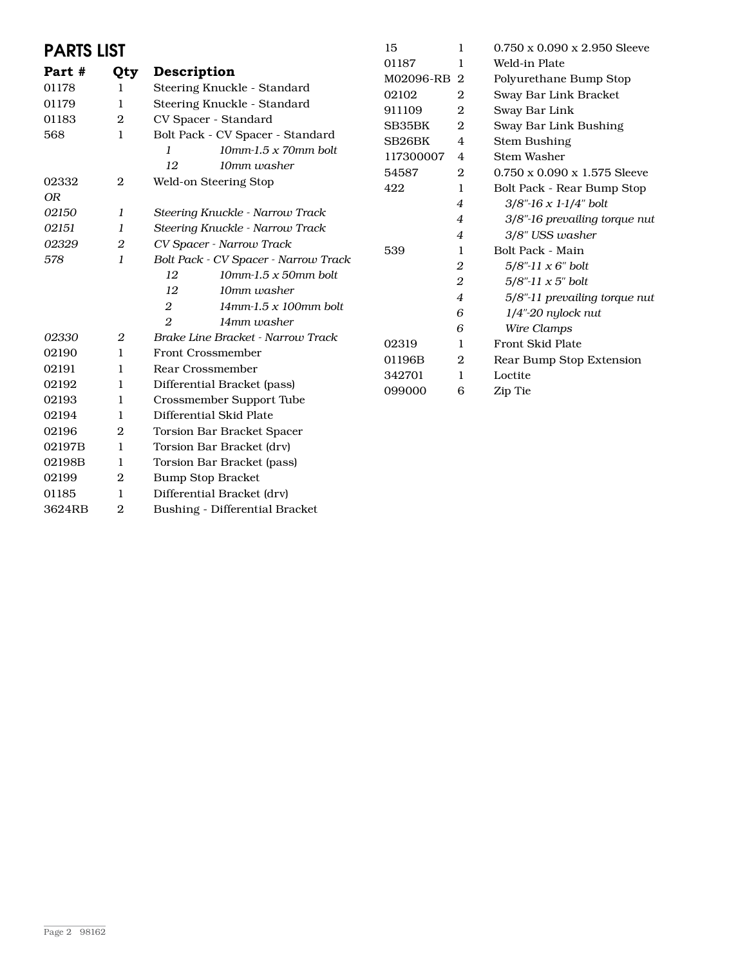| <b>PARTS LIST</b> |                  | 15                                               | 1         | $0.750 \times 0.090 \times 2.950$ Sleeve |                                          |
|-------------------|------------------|--------------------------------------------------|-----------|------------------------------------------|------------------------------------------|
| Part #            | Qty              | Description                                      | 01187     | 1                                        | Weld-in Plate                            |
| 01178             | 1                | Steering Knuckle - Standard                      | M02096-RB | $\overline{2}$                           | Polyurethane Bump Stop                   |
| 01179             | $\mathbf{1}$     | Steering Knuckle - Standard                      | 02102     | $\overline{2}$                           | Sway Bar Link Bracket                    |
| 01183             | $\boldsymbol{2}$ | CV Spacer - Standard                             | 911109    | $\boldsymbol{2}$                         | Sway Bar Link                            |
| 568               | $\mathbf{1}$     | Bolt Pack - CV Spacer - Standard                 | SB35BK    | $\boldsymbol{2}$                         | Sway Bar Link Bushing                    |
|                   |                  | $10$ mm-1.5 x 70mm bolt<br>1                     | SB26BK    | 4                                        | Stem Bushing                             |
|                   |                  | 12<br>10mm washer                                | 117300007 | 4                                        | <b>Stem Washer</b>                       |
| 02332             | $\overline{2}$   | Weld-on Steering Stop                            | 54587     | $\boldsymbol{2}$                         | $0.750 \times 0.090 \times 1.575$ Sleeve |
| <b>OR</b>         |                  |                                                  | 422       | 1                                        | Bolt Pack - Rear Bump Stop               |
| 02150             | 1                | Steering Knuckle - Narrow Track                  |           | $\overline{4}$                           | $3/8$ "-16 x 1-1/4" bolt                 |
| 02151             | 1                | Steering Knuckle - Narrow Track                  |           | 4                                        | 3/8"-16 prevailing torque nut            |
| 02329             | 2                | CV Spacer - Narrow Track                         |           | $\boldsymbol{4}$                         | 3/8" USS washer                          |
| 578               | $\boldsymbol{l}$ | Bolt Pack - CV Spacer - Narrow Track             | 539       | 1                                        | Bolt Pack - Main                         |
|                   |                  | 12<br>$10$ mm-1.5 x 50mm bolt                    |           | 2                                        | $5/8$ "-11 x 6" bolt                     |
|                   |                  | 12<br>10mm washer                                |           | $\boldsymbol{2}$                         | $5/8$ "-11 x 5" bolt                     |
|                   |                  | 2<br>$14$ mm-1.5 x 100mm bolt                    |           | $\boldsymbol{4}$                         | 5/8"-11 prevailing torque nut            |
|                   |                  | $\overline{2}$                                   |           | 6                                        | $1/4$ "-20 nylock nut                    |
| 02330             | 2                | 14mm washer<br>Brake Line Bracket - Narrow Track |           | 6                                        | Wire Clamps                              |
|                   | $\mathbf{1}$     |                                                  | 02319     | 1                                        | Front Skid Plate                         |
| 02190             |                  | Front Crossmember<br>Rear Crossmember            | 01196B    | 2                                        | Rear Bump Stop Extension                 |
| 02191             | 1                |                                                  | 342701    | $\mathbf{1}$                             | Loctite                                  |
| 02192             | 1                | Differential Bracket (pass)                      | 099000    | 6                                        | Zip Tie                                  |
| 02193             | $\mathbf{1}$     | Crossmember Support Tube                         |           |                                          |                                          |
| 02194             | 1                | Differential Skid Plate                          |           |                                          |                                          |
| 02196             | $\boldsymbol{2}$ | <b>Torsion Bar Bracket Spacer</b>                |           |                                          |                                          |
| 02197B            | 1                | Torsion Bar Bracket (drv)                        |           |                                          |                                          |
| 02198B            | 1                | Torsion Bar Bracket (pass)                       |           |                                          |                                          |
| 02199             | $\boldsymbol{2}$ | <b>Bump Stop Bracket</b>                         |           |                                          |                                          |
| 01185             | 1                | Differential Bracket (drv)                       |           |                                          |                                          |

3624RB 2 Bushing - Differential Bracket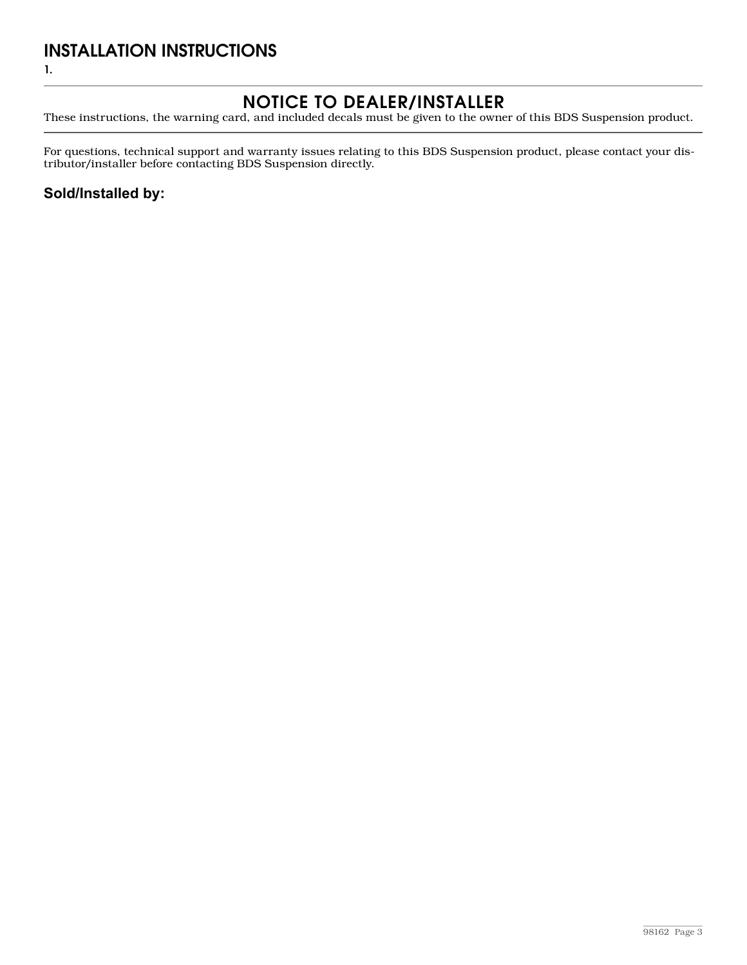### INSTALLATION INSTRUCTIONS

1.

## Notice to Dealer/Installer

These instructions, the warning card, and included decals must be given to the owner of this BDS Suspension product.

For questions, technical support and warranty issues relating to this BDS Suspension product, please contact your distributor/installer before contacting BDS Suspension directly.

#### **Sold/Installed by:**